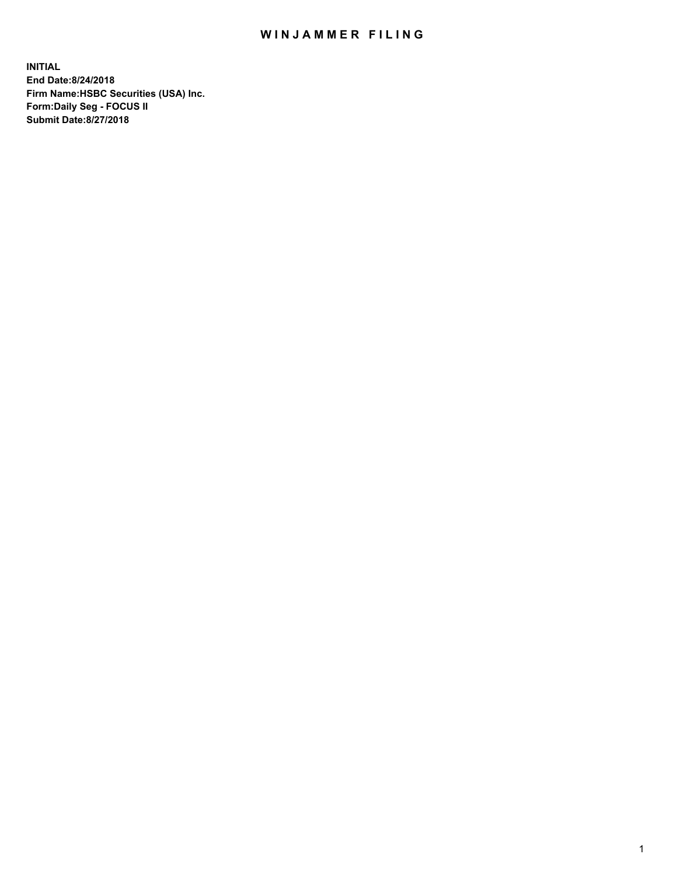## WIN JAMMER FILING

**INITIAL End Date:8/24/2018 Firm Name:HSBC Securities (USA) Inc. Form:Daily Seg - FOCUS II Submit Date:8/27/2018**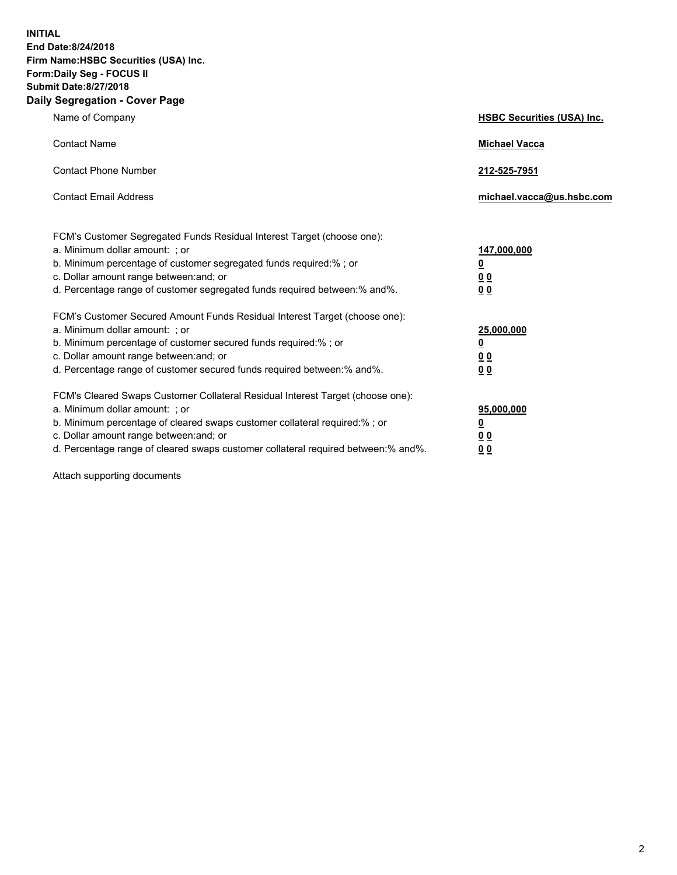**INITIAL End Date:8/24/2018 Firm Name:HSBC Securities (USA) Inc. Form:Daily Seg - FOCUS II Submit Date:8/27/2018 Daily Segregation - Cover Page**

| Name of Company                                                                                                                                                                                                                                                                                                                | <b>HSBC Securities (USA) Inc.</b>                                          |
|--------------------------------------------------------------------------------------------------------------------------------------------------------------------------------------------------------------------------------------------------------------------------------------------------------------------------------|----------------------------------------------------------------------------|
| <b>Contact Name</b>                                                                                                                                                                                                                                                                                                            | <b>Michael Vacca</b>                                                       |
| <b>Contact Phone Number</b>                                                                                                                                                                                                                                                                                                    | 212-525-7951                                                               |
| <b>Contact Email Address</b>                                                                                                                                                                                                                                                                                                   | michael.vacca@us.hsbc.com                                                  |
| FCM's Customer Segregated Funds Residual Interest Target (choose one):<br>a. Minimum dollar amount: : or<br>b. Minimum percentage of customer segregated funds required:% ; or<br>c. Dollar amount range between: and; or<br>d. Percentage range of customer segregated funds required between:% and%.                         | 147,000,000<br>$\overline{\mathbf{0}}$<br>0 <sub>0</sub><br>0 <sub>0</sub> |
| FCM's Customer Secured Amount Funds Residual Interest Target (choose one):<br>a. Minimum dollar amount: ; or<br>b. Minimum percentage of customer secured funds required:%; or<br>c. Dollar amount range between: and; or<br>d. Percentage range of customer secured funds required between:% and%.                            | 25,000,000<br><u>0</u><br>0 <sub>0</sub><br>00                             |
| FCM's Cleared Swaps Customer Collateral Residual Interest Target (choose one):<br>a. Minimum dollar amount: ; or<br>b. Minimum percentage of cleared swaps customer collateral required:% ; or<br>c. Dollar amount range between: and; or<br>d. Percentage range of cleared swaps customer collateral required between:% and%. | 95,000,000<br><u>0</u><br>00<br>0 <sub>0</sub>                             |

Attach supporting documents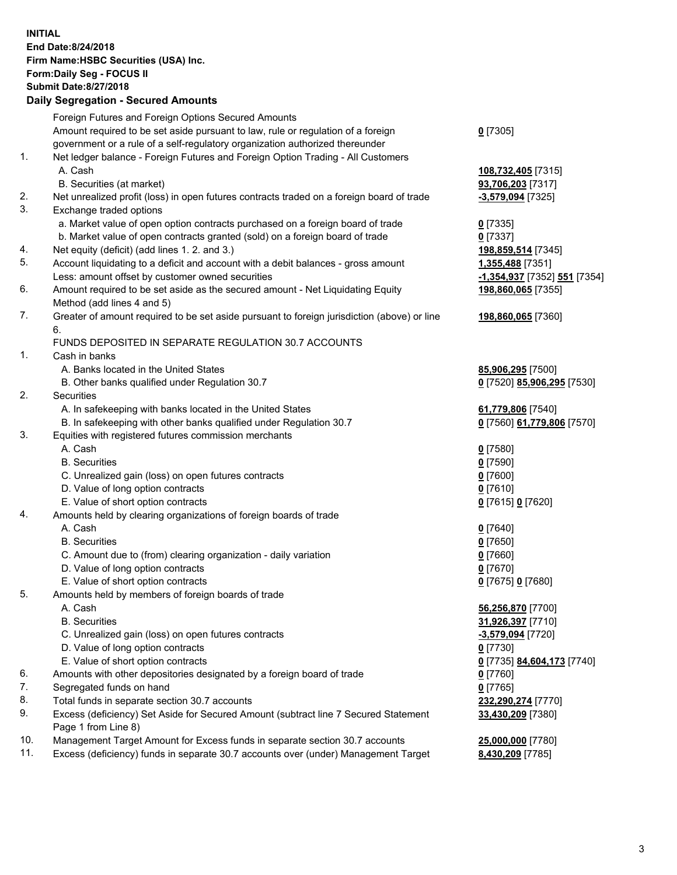**INITIAL End Date:8/24/2018 Firm Name:HSBC Securities (USA) Inc. Form:Daily Seg - FOCUS II Submit Date:8/27/2018 Daily Segregation - Secured Amounts** Foreign Futures and Foreign Options Secured Amounts Amount required to be set aside pursuant to law, rule or regulation of a foreign government or a rule of a self-regulatory organization authorized thereunder **0** [7305] 1. Net ledger balance - Foreign Futures and Foreign Option Trading - All Customers A. Cash **108,732,405** [7315] B. Securities (at market) **93,706,203** [7317] 2. Net unrealized profit (loss) in open futures contracts traded on a foreign board of trade **-3,579,094** [7325] 3. Exchange traded options a. Market value of open option contracts purchased on a foreign board of trade **0** [7335] b. Market value of open contracts granted (sold) on a foreign board of trade **0** [7337] 4. Net equity (deficit) (add lines 1. 2. and 3.) **198,859,514** [7345] 5. Account liquidating to a deficit and account with a debit balances - gross amount **1,355,488** [7351] Less: amount offset by customer owned securities **-1,354,937** [7352] **551** [7354] 6. Amount required to be set aside as the secured amount - Net Liquidating Equity Method (add lines 4 and 5) **198,860,065** [7355] 7. Greater of amount required to be set aside pursuant to foreign jurisdiction (above) or line 6. **198,860,065** [7360] FUNDS DEPOSITED IN SEPARATE REGULATION 30.7 ACCOUNTS 1. Cash in banks A. Banks located in the United States **85,906,295** [7500] B. Other banks qualified under Regulation 30.7 **0** [7520] **85,906,295** [7530] 2. Securities A. In safekeeping with banks located in the United States **61,779,806** [7540] B. In safekeeping with other banks qualified under Regulation 30.7 **0** [7560] **61,779,806** [7570] 3. Equities with registered futures commission merchants A. Cash **0** [7580] B. Securities **0** [7590] C. Unrealized gain (loss) on open futures contracts **0** [7600] D. Value of long option contracts **0** [7610] E. Value of short option contracts **0** [7615] **0** [7620] 4. Amounts held by clearing organizations of foreign boards of trade A. Cash **0** [7640] B. Securities **0** [7650] C. Amount due to (from) clearing organization - daily variation **0** [7660] D. Value of long option contracts **0** [7670] E. Value of short option contracts **0** [7675] **0** [7680] 5. Amounts held by members of foreign boards of trade A. Cash **56,256,870** [7700] B. Securities **31,926,397** [7710] C. Unrealized gain (loss) on open futures contracts **-3,579,094** [7720]

- 
- D. Value of long option contracts **0** [7730]
- E. Value of short option contracts **0** [7735] **84,604,173** [7740] 6. Amounts with other depositories designated by a foreign board of trade **0** [7760]
- 7. Segregated funds on hand **0** [7765]
- 8. Total funds in separate section 30.7 accounts **232,290,274** [7770]
- 9. Excess (deficiency) Set Aside for Secured Amount (subtract line 7 Secured Statement Page 1 from Line 8)
- 10. Management Target Amount for Excess funds in separate section 30.7 accounts **25,000,000** [7780]
- 11. Excess (deficiency) funds in separate 30.7 accounts over (under) Management Target **8,430,209** [7785]

**33,430,209** [7380]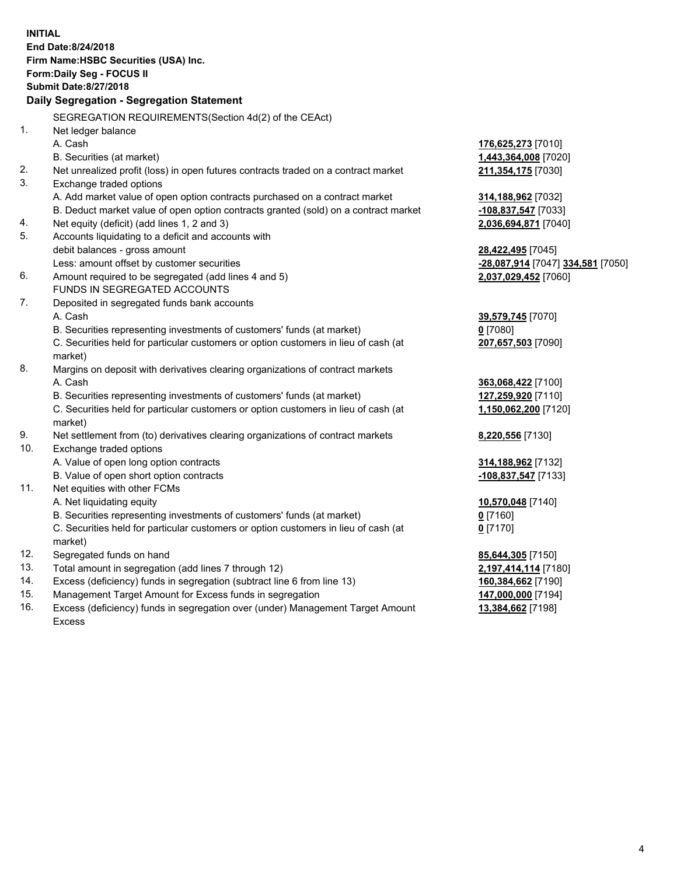**INITIAL End Date:8/24/2018 Firm Name:HSBC Securities (USA) Inc. Form:Daily Seg - FOCUS II Submit Date:8/27/2018 Daily Segregation - Segregation Statement** SEGREGATION REQUIREMENTS(Section 4d(2) of the CEAct) 1. Net ledger balance A. Cash **176,625,273** [7010] B. Securities (at market) **1,443,364,008** [7020] 2. Net unrealized profit (loss) in open futures contracts traded on a contract market **211,354,175** [7030] 3. Exchange traded options A. Add market value of open option contracts purchased on a contract market **314,188,962** [7032] B. Deduct market value of open option contracts granted (sold) on a contract market **-108,837,547** [7033] 4. Net equity (deficit) (add lines 1, 2 and 3) **2,036,694,871** [7040] 5. Accounts liquidating to a deficit and accounts with debit balances - gross amount **28,422,495** [7045] Less: amount offset by customer securities **-28,087,914** [7047] **334,581** [7050] 6. Amount required to be segregated (add lines 4 and 5) **2,037,029,452** [7060] FUNDS IN SEGREGATED ACCOUNTS 7. Deposited in segregated funds bank accounts A. Cash **39,579,745** [7070] B. Securities representing investments of customers' funds (at market) **0** [7080] C. Securities held for particular customers or option customers in lieu of cash (at market) **207,657,503** [7090] 8. Margins on deposit with derivatives clearing organizations of contract markets A. Cash **363,068,422** [7100] B. Securities representing investments of customers' funds (at market) **127,259,920** [7110] C. Securities held for particular customers or option customers in lieu of cash (at market) **1,150,062,200** [7120] 9. Net settlement from (to) derivatives clearing organizations of contract markets **8,220,556** [7130] 10. Exchange traded options A. Value of open long option contracts **314,188,962** [7132] B. Value of open short option contracts **-108,837,547** [7133] 11. Net equities with other FCMs A. Net liquidating equity **10,570,048** [7140] B. Securities representing investments of customers' funds (at market) **0** [7160] C. Securities held for particular customers or option customers in lieu of cash (at market) **0** [7170] 12. Segregated funds on hand **85,644,305** [7150] 13. Total amount in segregation (add lines 7 through 12) **2,197,414,114** [7180] 14. Excess (deficiency) funds in segregation (subtract line 6 from line 13) **160,384,662** [7190] 15. Management Target Amount for Excess funds in segregation **147,000,000** [7194] 16. Excess (deficiency) funds in segregation over (under) Management Target Amount **13,384,662** [7198]

Excess